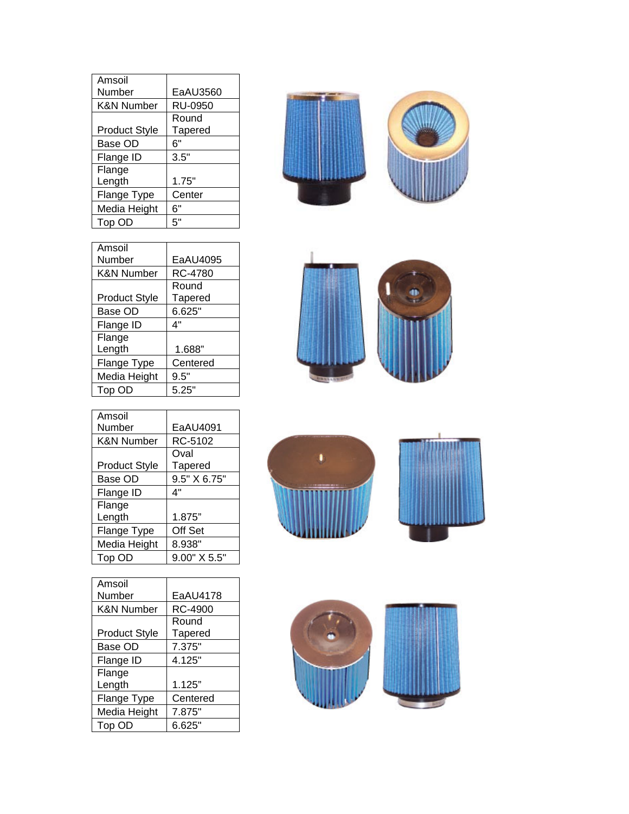| Amsoil                |                |
|-----------------------|----------------|
| Number                | EaAU3560       |
| <b>K&amp;N Number</b> | RU-0950        |
|                       | Round          |
| <b>Product Style</b>  | <b>Tapered</b> |
| Base OD               | 6"             |
| Flange ID             | 3.5"           |
| Flange                |                |
| Length                | 1.75"          |
| Flange Type           | Center         |
| Media Height          | 6"             |
| Top OD                | 5"             |



| Amsoil                |                |
|-----------------------|----------------|
| Number                | EaAU4091       |
| <b>K&amp;N Number</b> | RC-5102        |
|                       | Oval           |
| <b>Product Style</b>  | <b>Tapered</b> |
| Base OD               | 9.5" X 6.75"   |
| Flange ID             | 4"             |
| Flange                |                |
| Length                | 1.875"         |
| Flange Type           | Off Set        |
| Media Height          | 8.938"         |
| Top OD                | 9.00" X 5.5"   |

| Amsoil                |                |
|-----------------------|----------------|
| Number                | EaAU4178       |
| <b>K&amp;N Number</b> | RC-4900        |
|                       | Round          |
| <b>Product Style</b>  | <b>Tapered</b> |
| Base OD               | 7.375"         |
| Flange ID             | 4.125"         |
| Flange                |                |
| Length                | 1.125"         |
| Flange Type           | Centered       |
| Media Height          | 7.875"         |
| Top OD                | 6.625"         |









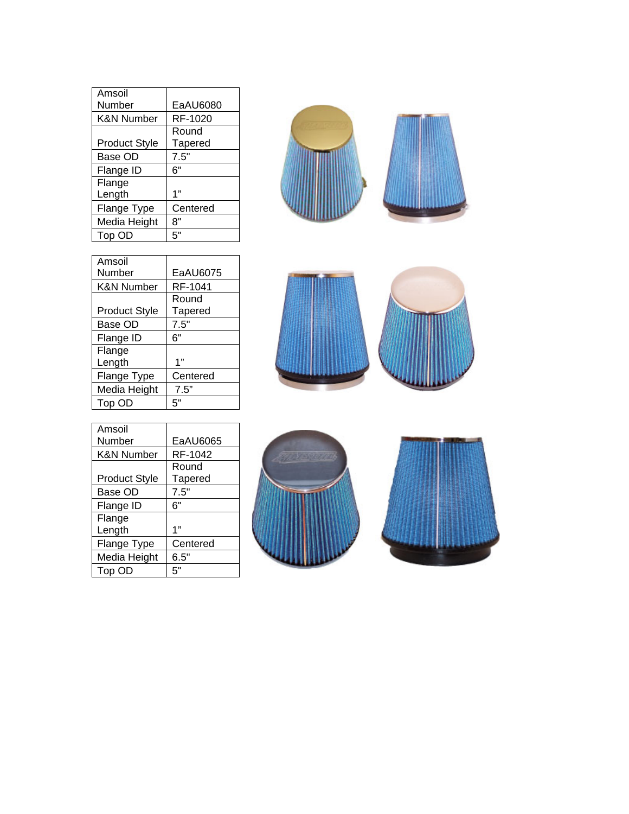| Amsoil                |          |
|-----------------------|----------|
| Number                | EaAU6080 |
| <b>K&amp;N Number</b> | RF-1020  |
|                       | Round    |
| <b>Product Style</b>  | Tapered  |
| Base OD               | 7.5"     |
| Flange ID             | 6"       |
| Flange                |          |
| Length                | 1"       |
| Flange Type           | Centered |
| Media Height          | 8"       |
| Top OD                | 5"       |

| Amsoil                |                |
|-----------------------|----------------|
| Number                | EaAU6075       |
| <b>K&amp;N Number</b> | RF-1041        |
|                       | Round          |
| <b>Product Style</b>  | <b>Tapered</b> |
| Base OD               | 7.5"           |
| Flange ID             | 6"             |
| Flange                |                |
| Length                | 1"             |
| Flange Type           | Centered       |
| Media Height          | 7.5"           |
| Top OD                | 5"             |







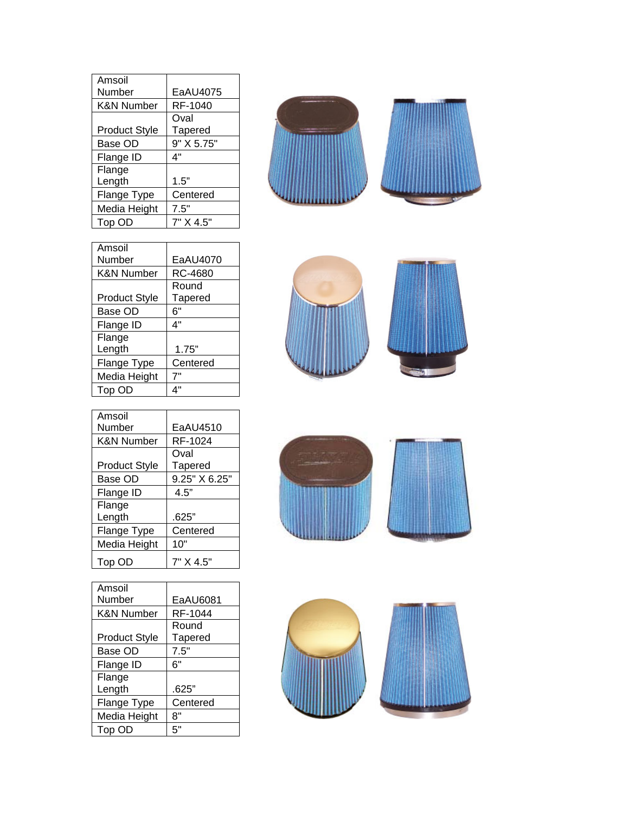| Amsoil               |                |
|----------------------|----------------|
| Number               | EaAU4075       |
| K&N Number           | RF-1040        |
|                      | Oval           |
| <b>Product Style</b> | <b>Tapered</b> |
| Base OD              | 9" X 5.75"     |
| Flange ID            | 4"             |
| Flange               |                |
| Length               | 1.5"           |
| Flange Type          | Centered       |
| Media Height         | 7.5"           |
| Top OD               | 7" X 4.5"      |



| Amsoil                |                |
|-----------------------|----------------|
| Number                | EaAU4070       |
| <b>K&amp;N Number</b> | RC-4680        |
|                       | Round          |
| <b>Product Style</b>  | <b>Tapered</b> |
| Base OD               | 6"             |
| Flange ID             | 4"             |
| Flange                |                |
| Length                | 1.75"          |
| Flange Type           | Centered       |
| Media Height          | 7"             |
| Top OD                | 4"             |
|                       |                |





| Amsoil               |                |
|----------------------|----------------|
| Number               | EaAU6081       |
| K&N Number           | RF-1044        |
|                      | Round          |
| <b>Product Style</b> | <b>Tapered</b> |
| Base OD              | 7.5"           |
| Flange ID            | 6"             |
| Flange               |                |
| Length               | .625"          |
| Flange Type          | Centered       |
| Media Height         | 8"             |
| Top OD               | 5"             |
|                      |                |



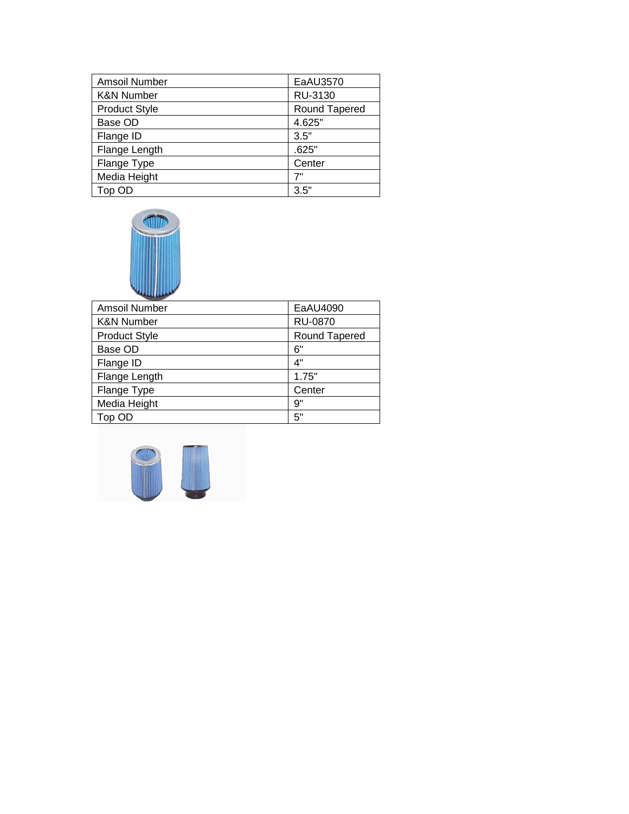| Amsoil Number         | EaAU3570             |
|-----------------------|----------------------|
| <b>K&amp;N Number</b> | RU-3130              |
| <b>Product Style</b>  | <b>Round Tapered</b> |
| Base OD               | 4.625"               |
| Flange ID             | 3.5"                 |
| Flange Length         | .625"                |
| Flange Type           | Center               |
| Media Height          | 7"                   |
| Top OD                | 3.5"                 |



| Amsoil Number         | EaAU4090       |
|-----------------------|----------------|
| <b>K&amp;N Number</b> | <b>RU-0870</b> |
| <b>Product Style</b>  | Round Tapered  |
| Base OD               | 6"             |
| Flange ID             | 4"             |
| Flange Length         | 1.75"          |
| Flange Type           | Center         |
| Media Height          | 9"             |
| Top OD                | 5"             |
|                       |                |

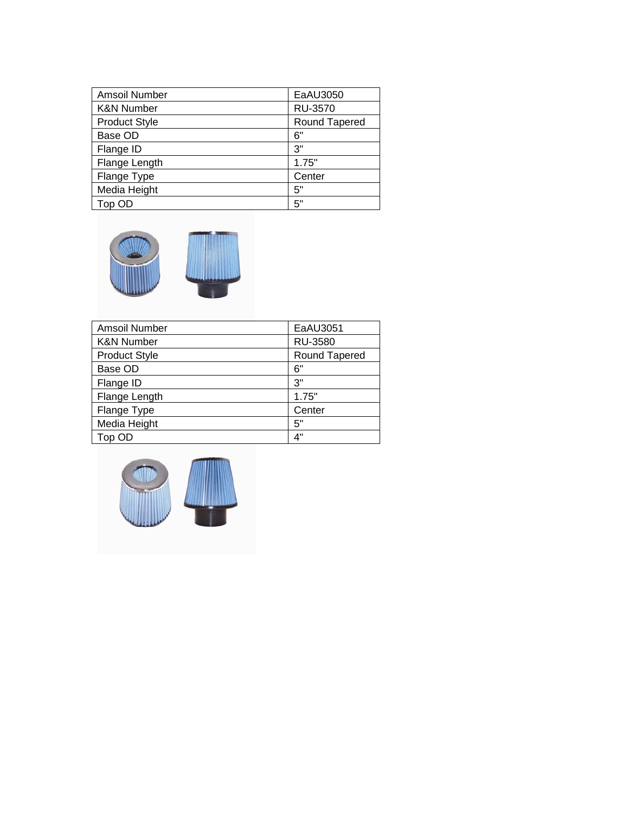| Amsoil Number         | EaAU3050       |
|-----------------------|----------------|
| <b>K&amp;N Number</b> | <b>RU-3570</b> |
| <b>Product Style</b>  | Round Tapered  |
| Base OD               | 6"             |
| Flange ID             | 3"             |
| Flange Length         | 1.75"          |
| Flange Type           | Center         |
| Media Height          | 5"             |
| Top OD                | 5"             |



| Amsoil Number         | EaAU3051       |
|-----------------------|----------------|
| <b>K&amp;N Number</b> | <b>RU-3580</b> |
| <b>Product Style</b>  | Round Tapered  |
| Base OD               | 6"             |
| Flange ID             | 3"             |
| Flange Length         | 1.75"          |
| Flange Type           | Center         |
| Media Height          | 5"             |
| Top OD                | 4"             |

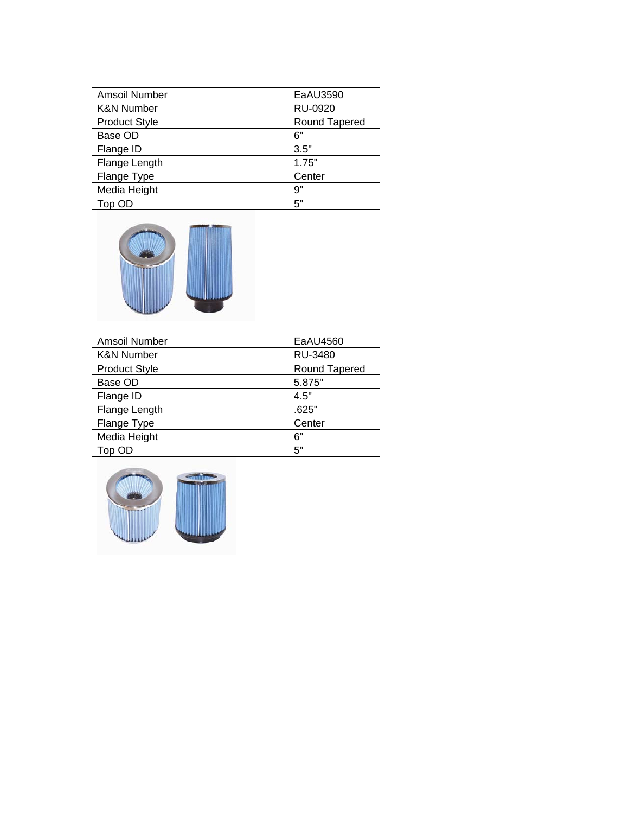| Amsoil Number         | EaAU3590       |
|-----------------------|----------------|
| <b>K&amp;N Number</b> | <b>RU-0920</b> |
| <b>Product Style</b>  | Round Tapered  |
| Base OD               | 6"             |
| Flange ID             | 3.5"           |
| Flange Length         | 1.75"          |
| Flange Type           | Center         |
| Media Height          | 9"             |
| Top OD                | 5"             |



| Amsoil Number         | EaAU4560      |
|-----------------------|---------------|
| <b>K&amp;N Number</b> | RU-3480       |
| <b>Product Style</b>  | Round Tapered |
| Base OD               | 5.875"        |
| Flange ID             | 4.5"          |
| Flange Length         | .625"         |
| Flange Type           | Center        |
| Media Height          | 6"            |
| Top OD                | 5"            |

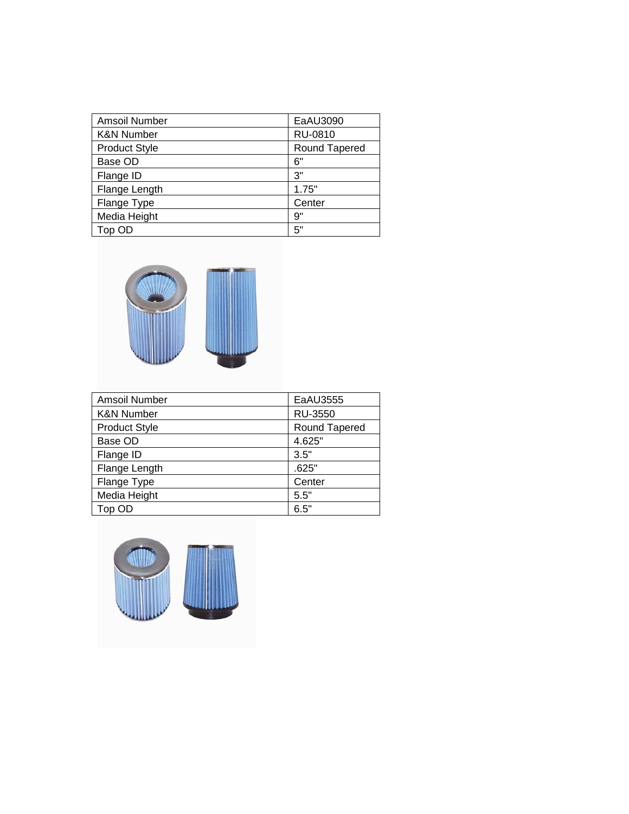| Amsoil Number         | EaAU3090      |
|-----------------------|---------------|
| <b>K&amp;N Number</b> | RU-0810       |
| <b>Product Style</b>  | Round Tapered |
| Base OD               | 6"            |
| Flange ID             | 3"            |
| Flange Length         | 1.75"         |
| Flange Type           | Center        |
| Media Height          | 9"            |
| Top OD                | 5"            |



| Amsoil Number         | EaAU3555       |
|-----------------------|----------------|
| <b>K&amp;N Number</b> | <b>RU-3550</b> |
| <b>Product Style</b>  | Round Tapered  |
| Base OD               | 4.625"         |
| Flange ID             | 3.5"           |
| Flange Length         | .625"          |
| Flange Type           | Center         |
| Media Height          | 5.5"           |
| Top OD                | 6.5"           |